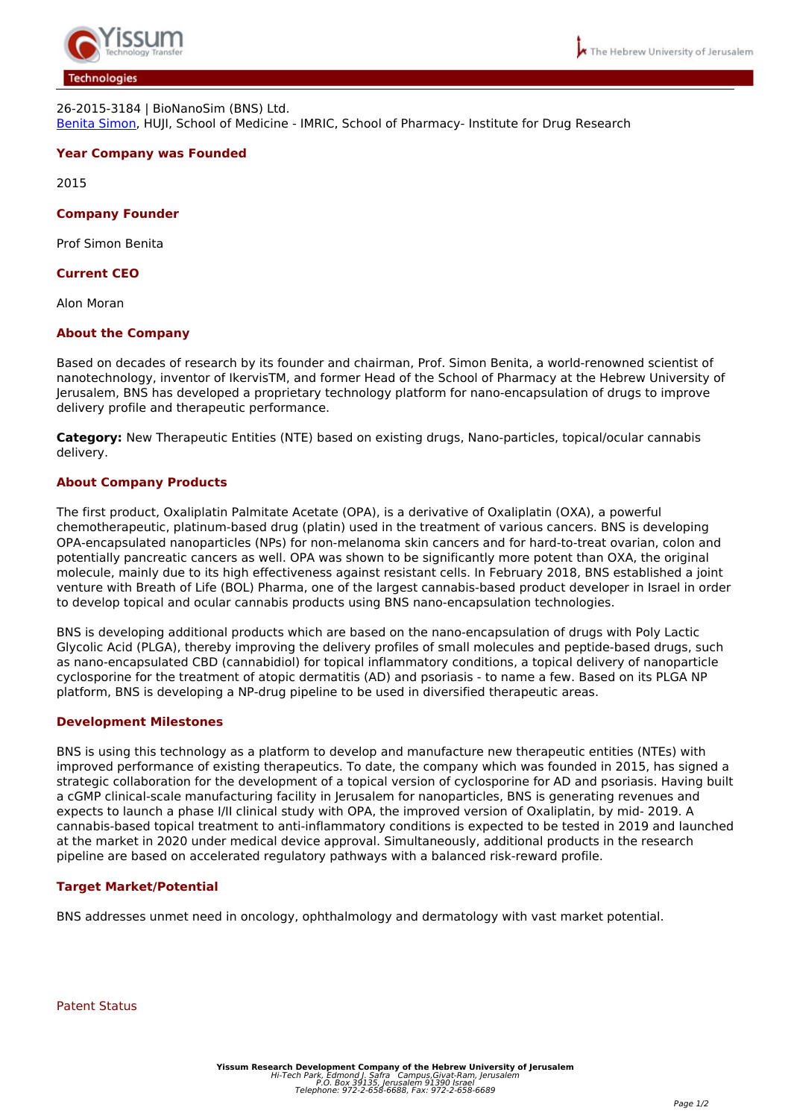

## *26-2015-3184 | BioNanoSim (BNS) Ltd. [Benita Simon,](https://medicine.ekmd.huji.ac.il/en/publications/researchersPages/pages/simonb.aspx) HUJI, School of Medicine - IMRIC, School of Pharmacy- Institute for Drug Research*

# **Year Company was Founded**

*2015*

## **Company Founder**

*Prof Simon Benita*

### **Current CEO**

*Alon Moran*

### **About the Company**

*Based on decades of research by its founder and chairman, Prof. Simon Benita, a world-renowned scientist of nanotechnology, inventor of IkervisTM, and former Head of the School of Pharmacy at the Hebrew University of Jerusalem, BNS has developed a proprietary technology platform for nano-encapsulation of drugs to improve delivery profile and therapeutic performance.* 

**Category:** *New Therapeutic Entities (NTE) based on existing drugs, Nano-particles, topical/ocular cannabis delivery.*

### **About Company Products**

*The first product, Oxaliplatin Palmitate Acetate (OPA), is a derivative of Oxaliplatin (OXA), a powerful chemotherapeutic, platinum-based drug (platin) used in the treatment of various cancers. BNS is developing OPA-encapsulated nanoparticles (NPs) for non-melanoma skin cancers and for hard-to-treat ovarian, colon and potentially pancreatic cancers as well. OPA was shown to be significantly more potent than OXA, the original molecule, mainly due to its high effectiveness against resistant cells. In February 2018, BNS established a joint venture with Breath of Life (BOL) Pharma, one of the largest cannabis-based product developer in Israel in order to develop topical and ocular cannabis products using BNS nano-encapsulation technologies.*

*BNS is developing additional products which are based on the nano-encapsulation of drugs with Poly Lactic Glycolic Acid (PLGA), thereby improving the delivery profiles of small molecules and peptide-based drugs, such as nano-encapsulated CBD (cannabidiol) for topical inflammatory conditions, a topical delivery of nanoparticle cyclosporine for the treatment of atopic dermatitis (AD) and psoriasis - to name a few. Based on its PLGA NP platform, BNS is developing a NP-drug pipeline to be used in diversified therapeutic areas.*

### **Development Milestones**

*BNS is using this technology as a platform to develop and manufacture new therapeutic entities (NTEs) with improved performance of existing therapeutics. To date, the company which was founded in 2015, has signed a strategic collaboration for the development of a topical version of cyclosporine for AD and psoriasis. Having built a cGMP clinical-scale manufacturing facility in Jerusalem for nanoparticles, BNS is generating revenues and expects to launch a phase I/II clinical study with OPA, the improved version of Oxaliplatin, by mid- 2019. A cannabis-based topical treatment to anti-inflammatory conditions is expected to be tested in 2019 and launched at the market in 2020 under medical device approval. Simultaneously, additional products in the research pipeline are based on accelerated regulatory pathways with a balanced risk-reward profile.*

### **Target Market/Potential**

*BNS addresses unmet need in oncology, ophthalmology and dermatology with vast market potential.*

*Patent Status*